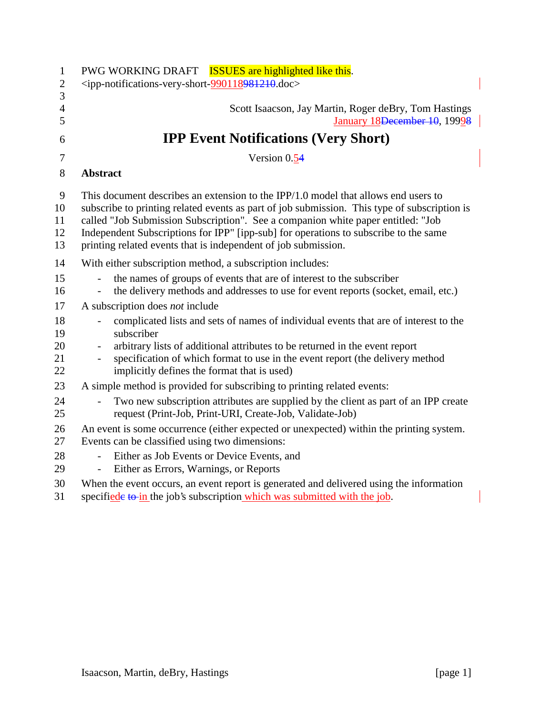| $\mathbf{1}$<br>$\mathbf{2}$<br>3 | PWG WORKING DRAFT <b>ISSUES</b> are highlighted like this.<br><ipp-notifications-very-short-990118981210.doc></ipp-notifications-very-short-990118981210.doc>                                                                                                                                                                                                                                                                       |
|-----------------------------------|-------------------------------------------------------------------------------------------------------------------------------------------------------------------------------------------------------------------------------------------------------------------------------------------------------------------------------------------------------------------------------------------------------------------------------------|
| $\overline{4}$<br>5               | Scott Isaacson, Jay Martin, Roger deBry, Tom Hastings<br>January 18 <del>December 10</del> , 19998                                                                                                                                                                                                                                                                                                                                  |
| 6                                 | <b>IPP Event Notifications (Very Short)</b>                                                                                                                                                                                                                                                                                                                                                                                         |
| 7                                 | Version 0.54                                                                                                                                                                                                                                                                                                                                                                                                                        |
| 8                                 | <b>Abstract</b>                                                                                                                                                                                                                                                                                                                                                                                                                     |
| 9<br>10<br>11<br>12<br>13         | This document describes an extension to the IPP $/1.0$ model that allows end users to<br>subscribe to printing related events as part of job submission. This type of subscription is<br>called "Job Submission Subscription". See a companion white paper entitled: "Job<br>Independent Subscriptions for IPP" [ipp-sub] for operations to subscribe to the same<br>printing related events that is independent of job submission. |
| 14                                | With either subscription method, a subscription includes:                                                                                                                                                                                                                                                                                                                                                                           |
| 15<br>16                          | the names of groups of events that are of interest to the subscriber<br>the delivery methods and addresses to use for event reports (socket, email, etc.)                                                                                                                                                                                                                                                                           |
| 17                                | A subscription does not include                                                                                                                                                                                                                                                                                                                                                                                                     |
| 18<br>19<br>20<br>21<br>22        | complicated lists and sets of names of individual events that are of interest to the<br>subscriber<br>arbitrary lists of additional attributes to be returned in the event report<br>specification of which format to use in the event report (the delivery method<br>implicitly defines the format that is used)                                                                                                                   |
| 23                                | A simple method is provided for subscribing to printing related events:                                                                                                                                                                                                                                                                                                                                                             |
| 24<br>25                          | Two new subscription attributes are supplied by the client as part of an IPP create<br>request (Print-Job, Print-URI, Create-Job, Validate-Job)                                                                                                                                                                                                                                                                                     |
| 26<br>27                          | An event is some occurrence (either expected or unexpected) within the printing system.<br>Events can be classified using two dimensions:                                                                                                                                                                                                                                                                                           |
| 28<br>29                          | Either as Job Events or Device Events, and<br>$\sim$<br>Either as Errors, Warnings, or Reports<br>$\blacksquare$                                                                                                                                                                                                                                                                                                                    |
| 30<br>31                          | When the event occurs, an event report is generated and delivered using the information<br>specified to in the job's subscription which was submitted with the job.                                                                                                                                                                                                                                                                 |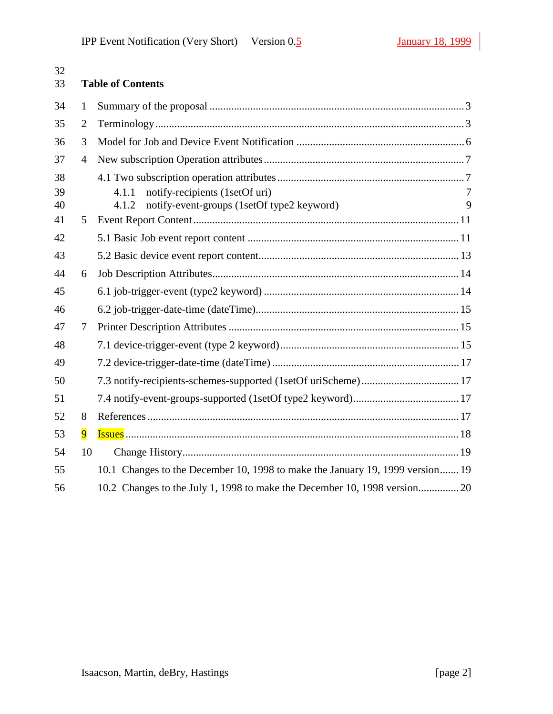| 32<br>33 |                | <b>Table of Contents</b>                                                                       |        |
|----------|----------------|------------------------------------------------------------------------------------------------|--------|
| 34       | 1              |                                                                                                |        |
| 35       | $\overline{2}$ |                                                                                                |        |
| 36       | 3              |                                                                                                |        |
| 37       | $\overline{4}$ |                                                                                                |        |
| 38       |                |                                                                                                |        |
| 39<br>40 |                | notify-recipients (1setOf uri)<br>4.1.1<br>notify-event-groups (1setOf type2 keyword)<br>4.1.2 | 7<br>9 |
| 41       | 5              |                                                                                                |        |
| 42       |                |                                                                                                |        |
| 43       |                |                                                                                                |        |
| 44       | 6              |                                                                                                |        |
| 45       |                |                                                                                                |        |
| 46       |                |                                                                                                |        |
| 47       | 7              |                                                                                                |        |
| 48       |                |                                                                                                |        |
| 49       |                |                                                                                                |        |
| 50       |                |                                                                                                |        |
| 51       |                |                                                                                                |        |
| 52       | 8              |                                                                                                |        |
| 53       | $\overline{9}$ |                                                                                                |        |
| 54       | 10             |                                                                                                |        |
| 55       |                | 10.1 Changes to the December 10, 1998 to make the January 19, 1999 version 19                  |        |
| 56       |                |                                                                                                |        |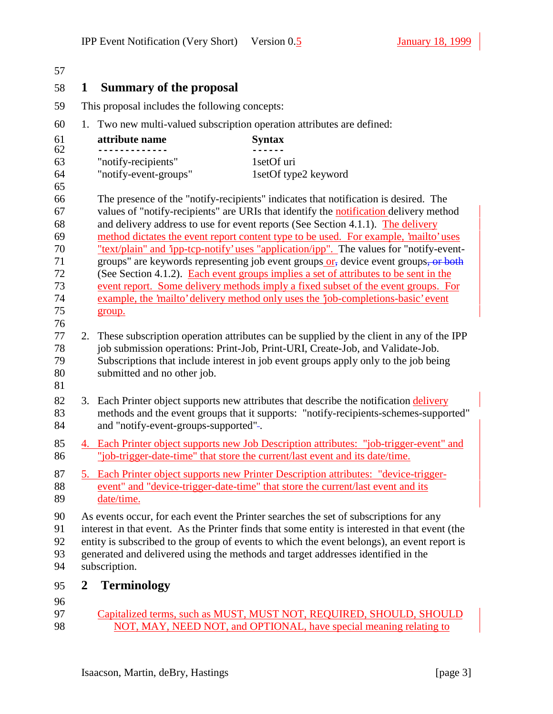| 1              | <b>Summary of the proposal</b>                 |                                                                                                                                                                                                                                                                                                                                                                                                                                                  |
|----------------|------------------------------------------------|--------------------------------------------------------------------------------------------------------------------------------------------------------------------------------------------------------------------------------------------------------------------------------------------------------------------------------------------------------------------------------------------------------------------------------------------------|
|                | This proposal includes the following concepts: |                                                                                                                                                                                                                                                                                                                                                                                                                                                  |
| 1.             |                                                | Two new multi-valued subscription operation attributes are defined:                                                                                                                                                                                                                                                                                                                                                                              |
|                | attribute name                                 | <b>Syntax</b>                                                                                                                                                                                                                                                                                                                                                                                                                                    |
|                | "notify-recipients"<br>"notify-event-groups"   | 1setOf uri<br>1setOf type2 keyword                                                                                                                                                                                                                                                                                                                                                                                                               |
|                |                                                | The presence of the "notify-recipients" indicates that notification is desired. The<br>values of "notify-recipients" are URIs that identify the notification delivery method<br>and delivery address to use for event reports (See Section 4.1.1). The delivery<br>method dictates the event report content type to be used. For example, 'mailto' uses                                                                                          |
|                | group.                                         | "text/plain" and 'ipp-tcp-notify' uses "application/ipp". The values for "notify-event-<br>groups" are keywords representing job event groups or, device event groups, or both<br>(See Section 4.1.2). Each event groups implies a set of attributes to be sent in the<br>event report. Some delivery methods imply a fixed subset of the event groups. For<br>example, the 'mailto' delivery method only uses the 'job-completions-basic' event |
|                | 2.<br>submitted and no other job.              | These subscription operation attributes can be supplied by the client in any of the IPP<br>job submission operations: Print-Job, Print-URI, Create-Job, and Validate-Job.<br>Subscriptions that include interest in job event groups apply only to the job being                                                                                                                                                                                 |
|                | and "notify-event-groups-supported"-.          | 3. Each Printer object supports new attributes that describe the notification delivery<br>methods and the event groups that it supports: "notify-recipients-schemes-supported"                                                                                                                                                                                                                                                                   |
|                |                                                | 4. Each Printer object supports new Job Description attributes: "job-trigger-event" and<br>"job-trigger-date-time" that store the current/last event and its date/time.                                                                                                                                                                                                                                                                          |
|                | date/time.                                     | 5. Each Printer object supports new Printer Description attributes: "device-trigger-<br>event" and "device-trigger-date-time" that store the current/last event and its                                                                                                                                                                                                                                                                          |
|                | subscription.                                  | As events occur, for each event the Printer searches the set of subscriptions for any<br>interest in that event. As the Printer finds that some entity is interested in that event (the<br>entity is subscribed to the group of events to which the event belongs), an event report is<br>generated and delivered using the methods and target addresses identified in the                                                                       |
| $\overline{2}$ | <b>Terminology</b>                             |                                                                                                                                                                                                                                                                                                                                                                                                                                                  |
|                |                                                | Capitalized terms, such as MUST, MUST NOT, REQUIRED, SHOULD, SHOULD                                                                                                                                                                                                                                                                                                                                                                              |

98 NOT, MAY, NEED NOT, and OPTIONAL, have special meaning relating to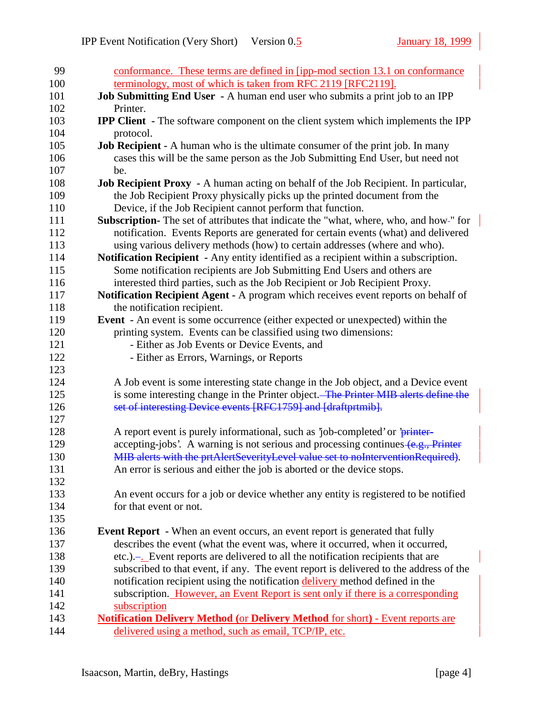| 99  | conformance. These terms are defined in [ipp-mod section 13.1 on conformance               |
|-----|--------------------------------------------------------------------------------------------|
| 100 | terminology, most of which is taken from RFC 2119 [RFC2119].                               |
| 101 | Job Submitting End User - A human end user who submits a print job to an IPP               |
| 102 | Printer.                                                                                   |
| 103 | <b>IPP Client</b> - The software component on the client system which implements the IPP   |
| 104 | protocol.                                                                                  |
| 105 | <b>Job Recipient -</b> A human who is the ultimate consumer of the print job. In many      |
| 106 | cases this will be the same person as the Job Submitting End User, but need not            |
| 107 | be.                                                                                        |
| 108 | <b>Job Recipient Proxy</b> - A human acting on behalf of the Job Recipient. In particular, |
| 109 | the Job Recipient Proxy physically picks up the printed document from the                  |
| 110 | Device, if the Job Recipient cannot perform that function.                                 |
| 111 | Subscription-The set of attributes that indicate the "what, where, who, and how-" for      |
| 112 | notification. Events Reports are generated for certain events (what) and delivered         |
| 113 | using various delivery methods (how) to certain addresses (where and who).                 |
| 114 | Notification Recipient - Any entity identified as a recipient within a subscription.       |
| 115 | Some notification recipients are Job Submitting End Users and others are                   |
| 116 | interested third parties, such as the Job Recipient or Job Recipient Proxy.                |
| 117 | Notification Recipient Agent - A program which receives event reports on behalf of         |
| 118 | the notification recipient.                                                                |
| 119 | <b>Event</b> - An event is some occurrence (either expected or unexpected) within the      |
| 120 | printing system. Events can be classified using two dimensions:                            |
| 121 | - Either as Job Events or Device Events, and                                               |
| 122 | - Either as Errors, Warnings, or Reports                                                   |
| 123 |                                                                                            |
| 124 | A Job event is some interesting state change in the Job object, and a Device event         |
| 125 | is some interesting change in the Printer object. The Printer MIB alerts define the        |
| 126 | set of interesting Device events [RFC1759] and [draftprtmib].                              |
| 127 |                                                                                            |
| 128 | A report event is purely informational, such as 'job-completed' or 'printer-               |
| 129 | accepting-jobs'. A warning is not serious and processing continues $(e.g., Printer)$       |
| 130 | MIB alerts with the prtAlertSeverityLevel value set to noInterventionRequired).            |
| 131 | An error is serious and either the job is aborted or the device stops.                     |
| 132 |                                                                                            |
| 133 | An event occurs for a job or device whether any entity is registered to be notified        |
| 134 | for that event or not.                                                                     |
| 135 |                                                                                            |
| 136 | <b>Event Report</b> - When an event occurs, an event report is generated that fully        |
| 137 | describes the event (what the event was, where it occurred, when it occurred,              |
| 138 | etc.).— Event reports are delivered to all the notification recipients that are            |
| 139 | subscribed to that event, if any. The event report is delivered to the address of the      |
| 140 | notification recipient using the notification delivery method defined in the               |
| 141 | subscription. However, an Event Report is sent only if there is a corresponding            |
| 142 | subscription                                                                               |
| 143 | <b>Notification Delivery Method (or Delivery Method for short) - Event reports are</b>     |
| 144 | delivered using a method, such as email, TCP/IP, etc.                                      |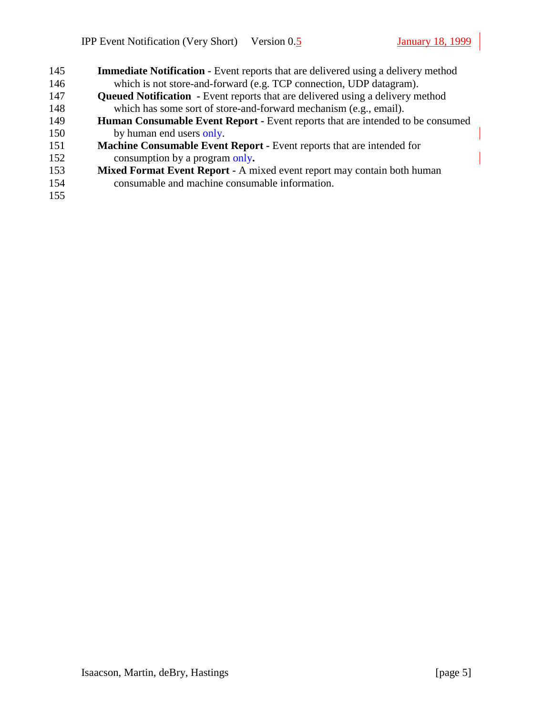| 145 | <b>Immediate Notification - Event reports that are delivered using a delivery method</b> |
|-----|------------------------------------------------------------------------------------------|
| 146 | which is not store-and-forward (e.g. TCP connection, UDP datagram).                      |
| 147 | <b>Queued Notification</b> - Event reports that are delivered using a delivery method    |
| 148 | which has some sort of store-and-forward mechanism (e.g., email).                        |
| 149 | <b>Human Consumable Event Report - Event reports that are intended to be consumed</b>    |
| 150 | by human end users only.                                                                 |
| 151 | Machine Consumable Event Report - Event reports that are intended for                    |
| 152 | consumption by a program only.                                                           |
| 153 | Mixed Format Event Report - A mixed event report may contain both human                  |
| 154 | consumable and machine consumable information.                                           |
| 155 |                                                                                          |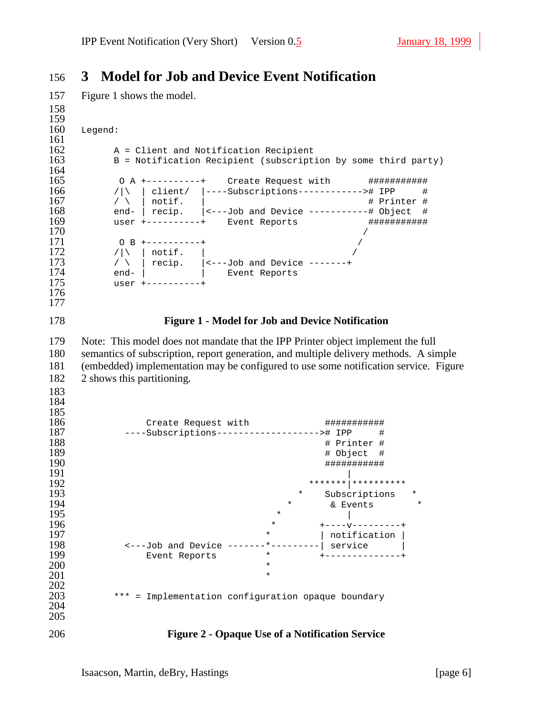## **3 Model for Job and Device Event Notification**

```
157 Figure 1 shows the model.
```

```
158
159<br>160
    Legend:
\frac{161}{162}162 		 A = Client and Notification Recipient<br>163 		 B = Notification Recipient (subscript:
        163 B = Notification Recipient (subscription by some third party)
164<br>165
165 O A +----------+ Create Request with ###########
166 /|\ | client/ |----Subscriptions------------># IPP #
167 / \ | notif. | 168 # Printer # 168 end- | recip. 158 (58) (70) (80) (168) (168) (168) (168) (168) (168) (168) (168) (168) (168) (168) (168) (168) (168) (168) (168) (168)168 end- | recip. |<---Job and Device -----------# Object #
169 user +----------+ Event Reports ##################<br>170 /
170 /
171 O B +----------+ /
172 /|\ | notif. |
173 \sqrt{ } | recip. | <---Job and Device -------+
174 end- | | Event Reports
175 user +----------+
176
177
178 Figure 1 - Model for Job and Device Notification
179 Note: This model does not mandate that the IPP Printer object implement the full
180 semantics of subscription, report generation, and multiple delivery methods. A simple
181 (embedded) implementation may be configured to use some notification service. Figure
182 2 shows this partitioning.
183
184
185<br>186
186 Create Request with ###########
187 ----Subscriptions-------------------># IPP #
188 # Printer #
189 # Object #
190 ###########
191192 *******|**********
193 * Subscriptions *
194 * & Events<br>195 * A Revents
195 * |
196 * * + - - - - - - - - - - +197 \longrightarrow | notification |
198 <---Job and Device -------*---------| service |
199 Event Reports * +--------------+
200 *
201 *
202
        *** = Implementation configuration opaque boundary
204
205
206 Figure 2 - Opaque Use of a Notification Service
```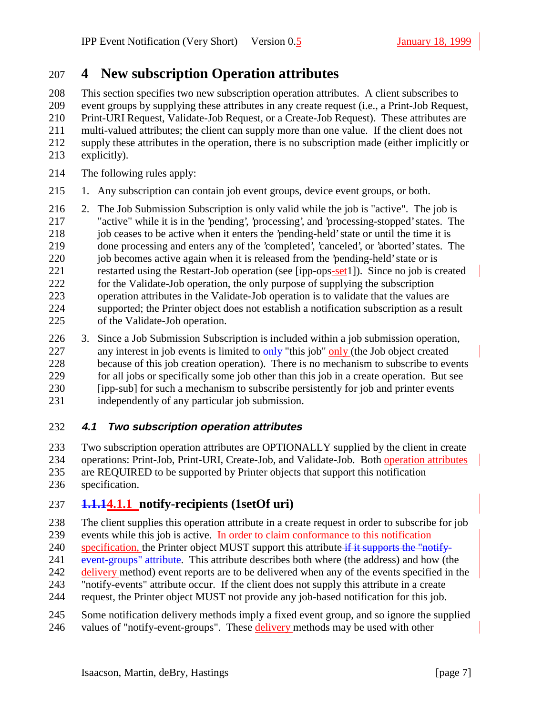# **4 New subscription Operation attributes**

 This section specifies two new subscription operation attributes. A client subscribes to event groups by supplying these attributes in any create request (i.e., a Print-Job Request, Print-URI Request, Validate-Job Request, or a Create-Job Request). These attributes are multi-valued attributes; the client can supply more than one value. If the client does not supply these attributes in the operation, there is no subscription made (either implicitly or explicitly).

- The following rules apply:
- 1. Any subscription can contain job event groups, device event groups, or both.
- 2. The Job Submission Subscription is only valid while the job is "active". The job is "active" while it is in the 'pending', 'processing', and 'processing-stopped' states. The 218 job ceases to be active when it enters the 'pending-held' state or until the time it is done processing and enters any of the 'completed', 'canceled', or 'aborted' states. The 220 iob becomes active again when it is released from the 'pending-held' state or is restarted using the Restart-Job operation (see [ipp-ops-set1]). Since no job is created for the Validate-Job operation, the only purpose of supplying the subscription operation attributes in the Validate-Job operation is to validate that the values are supported; the Printer object does not establish a notification subscription as a result of the Validate-Job operation.
- 3. Since a Job Submission Subscription is included within a job submission operation, 227 any interest in job events is limited to  $\frac{\partial H}{\partial y}$  "this job"  $\frac{\partial H}{\partial y}$  (the Job object created because of this job creation operation). There is no mechanism to subscribe to events for all jobs or specifically some job other than this job in a create operation. But see [ipp-sub] for such a mechanism to subscribe persistently for job and printer events independently of any particular job submission.

#### **4.1 Two subscription operation attributes**

 Two subscription operation attributes are OPTIONALLY supplied by the client in create operations: Print-Job, Print-URI, Create-Job, and Validate-Job. Both operation attributes are REQUIRED to be supported by Printer objects that support this notification specification.

### **1.1.14.1.1 notify-recipients (1setOf uri)**

The client supplies this operation attribute in a create request in order to subscribe for job

- events while this job is active. In order to claim conformance to this notification
- 240 specification, the Printer object MUST support this attribute if it supports the "notify-
- 241 event-groups" attribute. This attribute describes both where (the address) and how (the
- 242 delivery method) event reports are to be delivered when any of the events specified in the
- "notify-events" attribute occur. If the client does not supply this attribute in a create
- request, the Printer object MUST not provide any job-based notification for this job.
- Some notification delivery methods imply a fixed event group, and so ignore the supplied 246 values of "notify-event-groups". These **delivery** methods may be used with other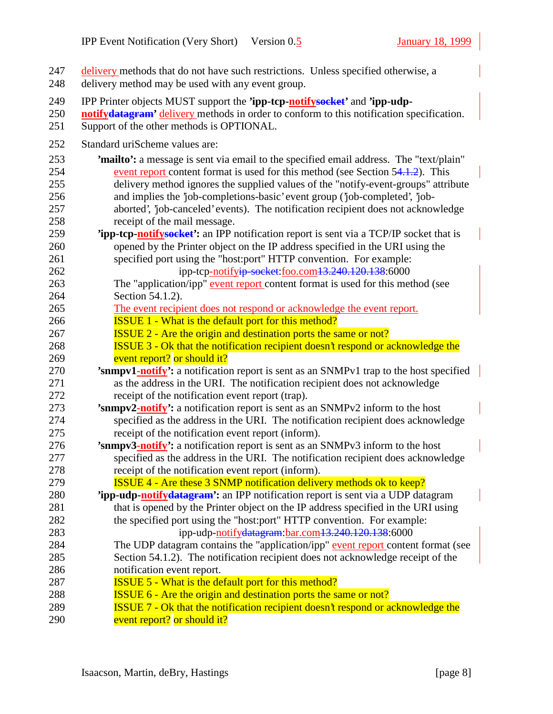| 247<br>248                                                  | delivery methods that do not have such restrictions. Unless specified otherwise, a<br>delivery method may be used with any event group.                                                                                                                                                                                                                                                                                                                                                                                                                                                                                                                                                                                    |
|-------------------------------------------------------------|----------------------------------------------------------------------------------------------------------------------------------------------------------------------------------------------------------------------------------------------------------------------------------------------------------------------------------------------------------------------------------------------------------------------------------------------------------------------------------------------------------------------------------------------------------------------------------------------------------------------------------------------------------------------------------------------------------------------------|
| 249<br>250<br>251                                           | IPP Printer objects MUST support the 'ipp-tcp-notifysoeket' and 'ipp-udp-<br>notifydatagram' delivery methods in order to conform to this notification specification.<br>Support of the other methods is OPTIONAL.                                                                                                                                                                                                                                                                                                                                                                                                                                                                                                         |
| 252                                                         | Standard uriScheme values are:                                                                                                                                                                                                                                                                                                                                                                                                                                                                                                                                                                                                                                                                                             |
| 253<br>254<br>255<br>256<br>257<br>258<br>259<br>260<br>261 | 'mailto': a message is sent via email to the specified email address. The "text/plain"<br>event report content format is used for this method (see Section 54.1.2). This<br>delivery method ignores the supplied values of the "notify-event-groups" attribute<br>and implies the 'job-completions-basic' event group ('job-completed', 'job-<br>aborted', 'job-canceled' events). The notification recipient does not acknowledge<br>receipt of the mail message.<br><b>Tipp-tcp-notifysocket':</b> an IPP notification report is sent via a TCP/IP socket that is<br>opened by the Printer object on the IP address specified in the URI using the<br>specified port using the "host:port" HTTP convention. For example: |
| 262<br>263                                                  | ipp-tcp-notifyip-socket:foo.com13.240.120.138:6000<br>The "application/ipp" event report content format is used for this method (see                                                                                                                                                                                                                                                                                                                                                                                                                                                                                                                                                                                       |
| 264                                                         | Section 54.1.2).                                                                                                                                                                                                                                                                                                                                                                                                                                                                                                                                                                                                                                                                                                           |
| 265                                                         | The event recipient does not respond or acknowledge the event report.                                                                                                                                                                                                                                                                                                                                                                                                                                                                                                                                                                                                                                                      |
| 266                                                         | <b>ISSUE 1 - What is the default port for this method?</b>                                                                                                                                                                                                                                                                                                                                                                                                                                                                                                                                                                                                                                                                 |
| 267                                                         | <b>ISSUE 2 - Are the origin and destination ports the same or not?</b>                                                                                                                                                                                                                                                                                                                                                                                                                                                                                                                                                                                                                                                     |
| 268                                                         | <b>ISSUE 3 - Ok that the notification recipient doesn't respond or acknowledge the</b>                                                                                                                                                                                                                                                                                                                                                                                                                                                                                                                                                                                                                                     |
| 269                                                         | event report? or should it?                                                                                                                                                                                                                                                                                                                                                                                                                                                                                                                                                                                                                                                                                                |
| 270                                                         | 'snmpv1-notify': a notification report is sent as an SNMPv1 trap to the host specified                                                                                                                                                                                                                                                                                                                                                                                                                                                                                                                                                                                                                                     |
| 271                                                         | as the address in the URI. The notification recipient does not acknowledge                                                                                                                                                                                                                                                                                                                                                                                                                                                                                                                                                                                                                                                 |
| 272                                                         | receipt of the notification event report (trap).                                                                                                                                                                                                                                                                                                                                                                                                                                                                                                                                                                                                                                                                           |
| 273                                                         | 'snmpv2-notify': a notification report is sent as an SNMPv2 inform to the host                                                                                                                                                                                                                                                                                                                                                                                                                                                                                                                                                                                                                                             |
| 274                                                         | specified as the address in the URI. The notification recipient does acknowledge                                                                                                                                                                                                                                                                                                                                                                                                                                                                                                                                                                                                                                           |
| 275                                                         | receipt of the notification event report (inform).                                                                                                                                                                                                                                                                                                                                                                                                                                                                                                                                                                                                                                                                         |
| 276                                                         | 'snmpv3-notify': a notification report is sent as an SNMPv3 inform to the host                                                                                                                                                                                                                                                                                                                                                                                                                                                                                                                                                                                                                                             |
| 277                                                         | specified as the address in the URI. The notification recipient does acknowledge                                                                                                                                                                                                                                                                                                                                                                                                                                                                                                                                                                                                                                           |
| 278                                                         | receipt of the notification event report (inform).                                                                                                                                                                                                                                                                                                                                                                                                                                                                                                                                                                                                                                                                         |
| 279                                                         | <b>ISSUE 4 - Are these 3 SNMP notification delivery methods ok to keep?</b>                                                                                                                                                                                                                                                                                                                                                                                                                                                                                                                                                                                                                                                |
| 280                                                         | 'ipp-udp-notifydatagram': an IPP notification report is sent via a UDP datagram                                                                                                                                                                                                                                                                                                                                                                                                                                                                                                                                                                                                                                            |
| 281                                                         | that is opened by the Printer object on the IP address specified in the URI using                                                                                                                                                                                                                                                                                                                                                                                                                                                                                                                                                                                                                                          |
| 282                                                         | the specified port using the "host:port" HTTP convention. For example:                                                                                                                                                                                                                                                                                                                                                                                                                                                                                                                                                                                                                                                     |
| 283                                                         | ipp-udp-notifydatagram: bar.com 13.240.120.138:6000                                                                                                                                                                                                                                                                                                                                                                                                                                                                                                                                                                                                                                                                        |
| 284                                                         | The UDP datagram contains the "application/ipp" event report content format (see                                                                                                                                                                                                                                                                                                                                                                                                                                                                                                                                                                                                                                           |
| 285                                                         | Section 54.1.2). The notification recipient does not acknowledge receipt of the                                                                                                                                                                                                                                                                                                                                                                                                                                                                                                                                                                                                                                            |
| 286                                                         | notification event report.                                                                                                                                                                                                                                                                                                                                                                                                                                                                                                                                                                                                                                                                                                 |
| 287                                                         | <b>ISSUE 5 - What is the default port for this method?</b>                                                                                                                                                                                                                                                                                                                                                                                                                                                                                                                                                                                                                                                                 |
| 288                                                         | <b>ISSUE 6 - Are the origin and destination ports the same or not?</b>                                                                                                                                                                                                                                                                                                                                                                                                                                                                                                                                                                                                                                                     |
| 289                                                         | <b>ISSUE 7 - Ok that the notification recipient doesn't respond or acknowledge the</b>                                                                                                                                                                                                                                                                                                                                                                                                                                                                                                                                                                                                                                     |
| 290                                                         | event report? or should it?                                                                                                                                                                                                                                                                                                                                                                                                                                                                                                                                                                                                                                                                                                |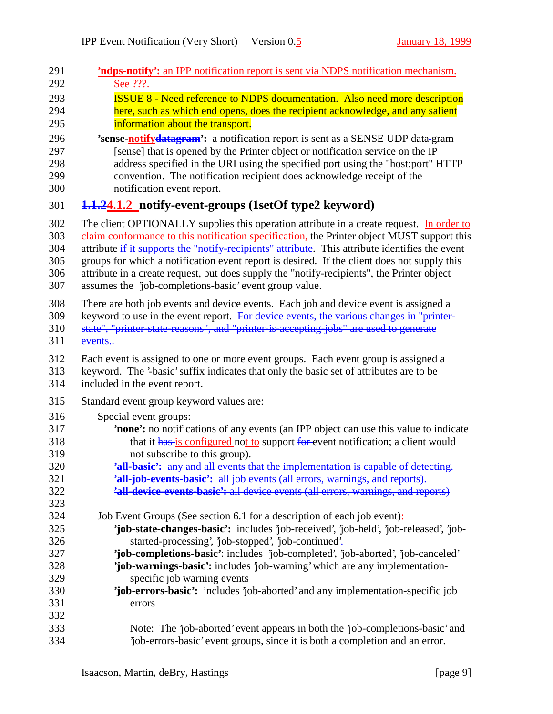| 291               | <b>'ndps-notify':</b> an IPP notification report is sent via NDPS notification mechanism.       |
|-------------------|-------------------------------------------------------------------------------------------------|
| 292               | See ???.                                                                                        |
| 293               | <b>ISSUE 8 - Need reference to NDPS documentation. Also need more description</b>               |
| 294               | here, such as which end opens, does the recipient acknowledge, and any salient                  |
| 295               | information about the transport.                                                                |
| 296               | 'sense-notifydatagram': a notification report is sent as a SENSE UDP data-gram                  |
| 297               | [sense] that is opened by the Printer object or notification service on the IP                  |
| 298               | address specified in the URI using the specified port using the "host:port" HTTP                |
| 299               | convention. The notification recipient does acknowledge receipt of the                          |
| 300               | notification event report.                                                                      |
| 301               | 1.1.24.1.2 notify-event-groups (1setOf type2 keyword)                                           |
| 302               | The client OPTIONALLY supplies this operation attribute in a create request. In order to        |
| 303               | claim conformance to this notification specification, the Printer object MUST support this      |
| 304               | attribute if it supports the "notify recipients" attribute. This attribute identifies the event |
| 305               | groups for which a notification event report is desired. If the client does not supply this     |
| 306               | attribute in a create request, but does supply the "notify-recipients", the Printer object      |
| 307               | assumes the 'job-completions-basic' event group value.                                          |
| 308               | There are both job events and device events. Each job and device event is assigned a            |
| 309               | keyword to use in the event report. For device events, the various changes in "printer-         |
| 310               | state", "printer-state-reasons", and "printer-is-accepting-jobs" are used to generate           |
| 311               | events                                                                                          |
| 312               | Each event is assigned to one or more event groups. Each event group is assigned a              |
| 313               | keyword. The '-basic' suffix indicates that only the basic set of attributes are to be          |
| 314               | included in the event report.                                                                   |
| 315               | Standard event group keyword values are:                                                        |
| 316               | Special event groups:                                                                           |
| 317               | <b>none':</b> no notifications of any events (an IPP object can use this value to indicate      |
| 318               | that it has is configured not to support for event notification; a client would                 |
| 319               | not subscribe to this group).                                                                   |
| 320               | 'all-basic': any and all events that the implementation is capable of detecting.                |
| 321               | 'all-job-events-basic': all job events (all errors, warnings, and reports).                     |
| 322<br>323        | 'all-device-events-basic': all device events (all errors, warnings, and reports)                |
| 324               | Job Event Groups (See section 6.1 for a description of each job event):                         |
| 325               | 'job-state-changes-basic': includes 'job-received', 'job-held', 'job-released', 'job-           |
| 326               | started-processing', 'job-stopped', 'job-continued'.                                            |
| 327               | 'job-completions-basic': includes 'job-completed', 'job-aborted', 'job-canceled'                |
| 328               | 'job-warnings-basic': includes 'job-warning' which are any implementation-                      |
| 329               | specific job warning events                                                                     |
| 330<br>331<br>332 | 'job-errors-basic': includes 'job-aborted' and any implementation-specific job<br>errors        |
| 333               | Note: The 'job-aborted' event appears in both the 'job-completions-basic' and                   |
| 334               | job-errors-basic' event groups, since it is both a completion and an error.                     |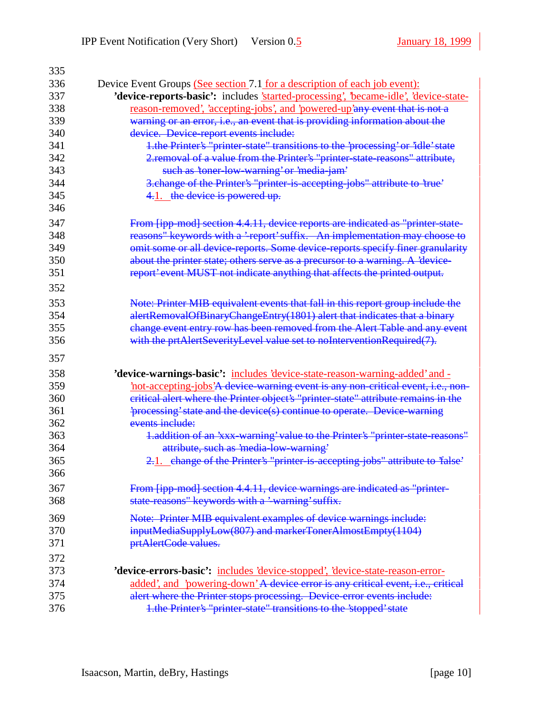| 335 |                                                                                      |
|-----|--------------------------------------------------------------------------------------|
| 336 | Device Event Groups (See section 7.1 for a description of each job event):           |
| 337 | 'device-reports-basic': includes 'started-processing', 'became-idle', 'device-state- |
| 338 | <u>reason-removed', 'accepting-jobs', and 'powered-up'any event that is not a</u>    |
| 339 | warning or an error, i.e., an event that is providing information about the          |
| 340 | device. Device-report events include:                                                |
| 341 | 1.the Printer's "printer-state" transitions to the 'processing' or 'idle' state      |
| 342 | 2. removal of a value from the Printer's "printer state reasons" attribute,          |
| 343 | such as 'toner low warning' or 'media jam'                                           |
| 344 | 3. change of the Printer's "printer-is-accepting-jobs" attribute to 'true'           |
| 345 | 4.1. the device is powered up.                                                       |
| 346 |                                                                                      |
| 347 | From [ipp-mod] section 4.4.11, device reports are indicated as "printer-state-       |
| 348 | reasons" keywords with a 'report' suffix. An implementation may choose to            |
| 349 | omit some or all device-reports. Some device-reports specify finer granularity       |
| 350 | about the printer state; others serve as a precursor to a warning. A 'device-        |
| 351 | report' event MUST not indicate anything that affects the printed output.            |
| 352 |                                                                                      |
|     |                                                                                      |
| 353 | Note: Printer MIB equivalent events that fall in this report group include the       |
| 354 | alertRemovalOfBinaryChangeEntry(1801) alert that indicates that a binary             |
| 355 | change event entry row has been removed from the Alert Table and any event           |
| 356 | with the prtAlertSeverityLevel value set to noInterventionRequired(7).               |
| 357 |                                                                                      |
| 358 | 'device-warnings-basic': includes 'device-state-reason-warning-added' and -          |
| 359 | not-accepting-jobs'A device-warning event is any non-critical event, i.e., non-      |
| 360 | eritical alert where the Printer object's "printer-state" attribute remains in the   |
| 361 | 'processing' state and the device(s) continue to operate. Device-warning             |
| 362 | events include:                                                                      |
| 363 | 1.addition of an 'xxx-warning' value to the Printer's "printer state reasons"        |
| 364 | attribute, such as 'media-low-warning'                                               |
| 365 | 2.1. change of the Printer's "printer-is-accepting-jobs" attribute to 'false'        |
| 366 |                                                                                      |
| 367 | From [ipp-mod] section 4.4.11, device warnings are indicated as "printer-            |
| 368 | state reasons" keywords with a 'warning' suffix.                                     |
|     |                                                                                      |
| 369 | Note: Printer MIB equivalent examples of device warnings include:                    |
| 370 | inputMediaSupplyLow(807) and markerTonerAlmostEmpty(1104)                            |
| 371 | prtAlertCode values.                                                                 |
| 372 |                                                                                      |
| 373 | 'device-errors-basic': includes 'device-stopped', 'device-state-reason-error-        |
| 374 | added', and 'powering-down' A device error is any critical event, i.e., critical     |
| 375 | alert where the Printer stops processing. Device-error events include:               |
| 376 | 1.the Printer's "printer-state" transitions to the 'stopped' state                   |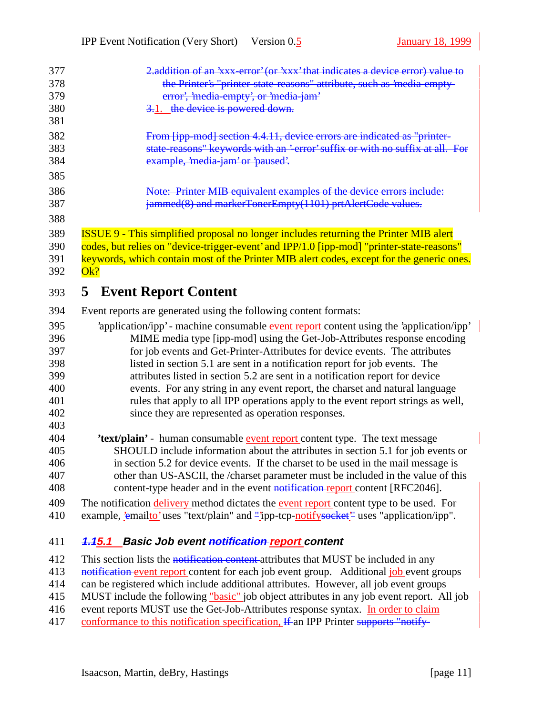| 377 | 2. addition of an 'xxx-error' (or 'xxx' that indicates a device error) value to               |
|-----|-----------------------------------------------------------------------------------------------|
| 378 | the Printer's "printer-state-reasons" attribute, such as 'media-empty-                        |
| 379 | error', 'media empty', or 'media jam'                                                         |
| 380 | 3.1. the device is powered down.                                                              |
| 381 |                                                                                               |
| 382 | From [ipp-mod] section 4.4.11, device errors are indicated as "printer-                       |
| 383 | state-reasons" keywords with an '-error' suffix or with no suffix at all. For                 |
| 384 | example, 'media jam' or 'paused'.                                                             |
| 385 |                                                                                               |
| 386 | Note: Printer MIB equivalent examples of the device errors include:                           |
| 387 | jammed(8) and markerTonerEmpty(1101) prtAlertCode values.                                     |
| 388 |                                                                                               |
| 389 | <b>ISSUE 9 - This simplified proposal no longer includes returning the Printer MIB alert</b>  |
| 390 | codes, but relies on "device-trigger-event' and IPP/1.0 [ipp-mod] "printer-state-reasons"     |
| 391 | keywords, which contain most of the Printer MIB alert codes, except for the generic ones.     |
| 392 | Ok?                                                                                           |
| 393 | <b>5</b> Event Report Content                                                                 |
| 394 | Event reports are generated using the following content formats:                              |
| 395 | 'application/ipp' - machine consumable event report content using the 'application/ipp'       |
| 396 | MIME media type [ipp-mod] using the Get-Job-Attributes response encoding                      |
| 397 | for job events and Get-Printer-Attributes for device events. The attributes                   |
| 398 | listed in section 5.1 are sent in a notification report for job events. The                   |
| 399 | attributes listed in section 5.2 are sent in a notification report for device                 |
| 400 | events. For any string in any event report, the charset and natural language                  |
| 401 | rules that apply to all IPP operations apply to the event report strings as well,             |
| 402 | since they are represented as operation responses.                                            |
| 403 |                                                                                               |
| 404 | 'text/plain' - human consumable event report content type. The text message                   |
| 405 | SHOULD include information about the attributes in section 5.1 for job events or              |
| 406 | in section 5.2 for device events. If the charset to be used in the mail message is            |
| 407 | other than US-ASCII, the /charset parameter must be included in the value of this             |
| 408 | content-type header and in the event notification report content [RFC2046].                   |
| 409 | The notification delivery method dictates the event report content type to be used. For       |
| 410 | example, <i>emailto'</i> uses "text/plain" and "ipp-tcp-notifysocket" uses "application/ipp". |
| 411 | <b>Basic Job event notification report content</b><br><del>1.1</del> 5.1                      |
| 412 | This section lists the notification content attributes that MUST be included in any           |
|     |                                                                                               |

413 notification event report content for each job event group. Additional job event groups

 can be registered which include additional attributes. However, all job event groups MUST include the following "basic" job object attributes in any job event report. All job

416 event reports MUST use the Get-Job-Attributes response syntax. In order to claim

417 conformance to this notification specification, If an IPP Printer supports "notify-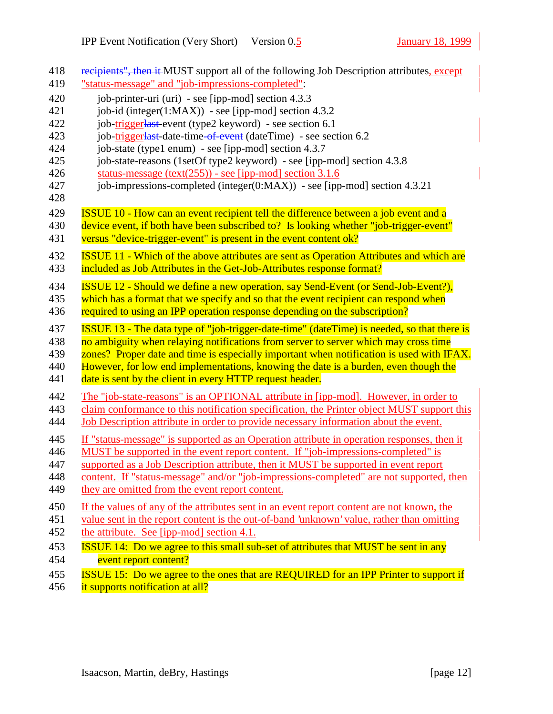| 418<br>419                      | recipients", then it MUST support all of the following Job Description attributes, except<br>"status-message" and "job-impressions-completed":                                                                                                                                                                                                                                                                                   |
|---------------------------------|----------------------------------------------------------------------------------------------------------------------------------------------------------------------------------------------------------------------------------------------------------------------------------------------------------------------------------------------------------------------------------------------------------------------------------|
| 420                             | job-printer-uri (uri) - see [ipp-mod] section 4.3.3                                                                                                                                                                                                                                                                                                                                                                              |
| 421                             | job-id (integer(1:MAX)) - see [ipp-mod] section $4.3.2$                                                                                                                                                                                                                                                                                                                                                                          |
| 422                             | job-triggerlast-event (type2 keyword) - see section 6.1                                                                                                                                                                                                                                                                                                                                                                          |
| 423                             | job-triggerlast-date-time-of-event (dateTime) - see section 6.2                                                                                                                                                                                                                                                                                                                                                                  |
| 424                             | job-state (type1 enum) - see [ipp-mod] section 4.3.7                                                                                                                                                                                                                                                                                                                                                                             |
| 425                             | job-state-reasons (1setOf type2 keyword) - see [ipp-mod] section 4.3.8                                                                                                                                                                                                                                                                                                                                                           |
| 426                             | status-message $(text(255))$ - see [ipp-mod] section 3.1.6                                                                                                                                                                                                                                                                                                                                                                       |
| 427                             | job-impressions-completed (integer( $0:MAX$ )) - see [ipp-mod] section 4.3.21                                                                                                                                                                                                                                                                                                                                                    |
| 428                             |                                                                                                                                                                                                                                                                                                                                                                                                                                  |
| 429<br>430<br>431               | <b>ISSUE 10 - How can an event recipient tell the difference between a job event and a</b><br>device event, if both have been subscribed to? Is looking whether "job-trigger-event"<br>versus "device-trigger-event" is present in the event content ok?                                                                                                                                                                         |
| 432<br>433                      | <b>ISSUE 11 - Which of the above attributes are sent as Operation Attributes and which are</b><br>included as Job Attributes in the Get-Job-Attributes response format?                                                                                                                                                                                                                                                          |
| 434                             | <b>ISSUE 12 - Should we define a new operation, say Send-Event (or Send-Job-Event?),</b>                                                                                                                                                                                                                                                                                                                                         |
| 435                             | which has a format that we specify and so that the event recipient can respond when                                                                                                                                                                                                                                                                                                                                              |
| 436                             | required to using an IPP operation response depending on the subscription?                                                                                                                                                                                                                                                                                                                                                       |
| 437<br>438<br>439<br>440<br>441 | ISSUE 13 - The data type of "job-trigger-date-time" (dateTime) is needed, so that there is<br>no ambiguity when relaying notifications from server to server which may cross time<br>zones? Proper date and time is especially important when notification is used with IFAX.<br>However, for low end implementations, knowing the date is a burden, even though the<br>date is sent by the client in every HTTP request header. |
| 442                             | The "job-state-reasons" is an OPTIONAL attribute in [ipp-mod]. However, in order to                                                                                                                                                                                                                                                                                                                                              |
| 443<br>444                      | claim conformance to this notification specification, the Printer object MUST support this<br>Job Description attribute in order to provide necessary information about the event.                                                                                                                                                                                                                                               |
| 445                             | If "status-message" is supported as an Operation attribute in operation responses, then it                                                                                                                                                                                                                                                                                                                                       |
| 446                             | MUST be supported in the event report content. If "job-impressions-completed" is                                                                                                                                                                                                                                                                                                                                                 |
| 447                             | supported as a Job Description attribute, then it MUST be supported in event report                                                                                                                                                                                                                                                                                                                                              |
| 448                             | content. If "status-message" and/or "job-impressions-completed" are not supported, then                                                                                                                                                                                                                                                                                                                                          |
| 449                             | they are omitted from the event report content.                                                                                                                                                                                                                                                                                                                                                                                  |
| 450                             | If the values of any of the attributes sent in an event report content are not known, the                                                                                                                                                                                                                                                                                                                                        |
| 451                             | value sent in the report content is the out-of-band 'unknown' value, rather than omitting                                                                                                                                                                                                                                                                                                                                        |
| 452                             | the attribute. See [ipp-mod] section 4.1.                                                                                                                                                                                                                                                                                                                                                                                        |
| 453                             | <b>ISSUE 14:</b> Do we agree to this small sub-set of attributes that MUST be sent in any                                                                                                                                                                                                                                                                                                                                        |
| 454                             | event report content?                                                                                                                                                                                                                                                                                                                                                                                                            |
| 455                             | <b>ISSUE 15:</b> Do we agree to the ones that are REQUIRED for an IPP Printer to support if                                                                                                                                                                                                                                                                                                                                      |
| 456                             | it supports notification at all?                                                                                                                                                                                                                                                                                                                                                                                                 |
|                                 |                                                                                                                                                                                                                                                                                                                                                                                                                                  |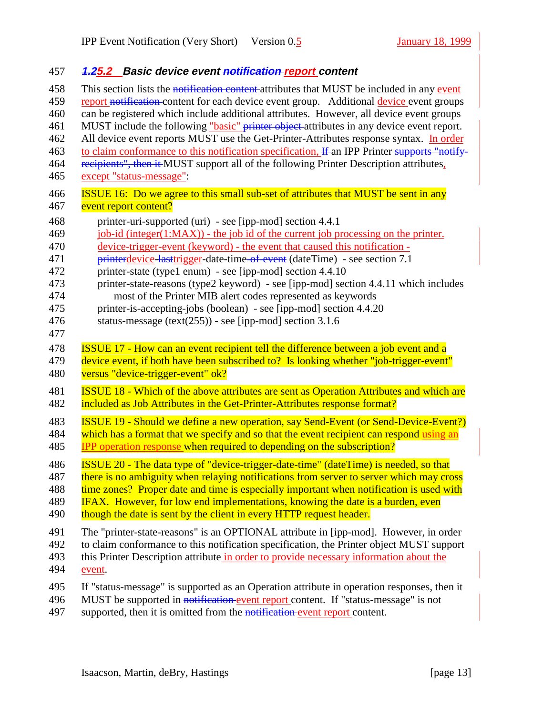| 457                                                                | 4.25.2 Basic device event notification report content                                                                                                                                                                                                                                                                                                                                                                                                                                                                                                                                                                                                                      |
|--------------------------------------------------------------------|----------------------------------------------------------------------------------------------------------------------------------------------------------------------------------------------------------------------------------------------------------------------------------------------------------------------------------------------------------------------------------------------------------------------------------------------------------------------------------------------------------------------------------------------------------------------------------------------------------------------------------------------------------------------------|
| 458                                                                | This section lists the notification content-attributes that MUST be included in any event                                                                                                                                                                                                                                                                                                                                                                                                                                                                                                                                                                                  |
| 459                                                                | report notification-content for each device event group. Additional device event groups                                                                                                                                                                                                                                                                                                                                                                                                                                                                                                                                                                                    |
| 460                                                                | can be registered which include additional attributes. However, all device event groups                                                                                                                                                                                                                                                                                                                                                                                                                                                                                                                                                                                    |
| 461                                                                | MUST include the following "basic" printer object attributes in any device event report.                                                                                                                                                                                                                                                                                                                                                                                                                                                                                                                                                                                   |
| 462                                                                | All device event reports MUST use the Get-Printer-Attributes response syntax. In order                                                                                                                                                                                                                                                                                                                                                                                                                                                                                                                                                                                     |
| 463                                                                | to claim conformance to this notification specification. If an IPP Printer supports "notify-                                                                                                                                                                                                                                                                                                                                                                                                                                                                                                                                                                               |
| 464                                                                | recipients", then it MUST support all of the following Printer Description attributes,                                                                                                                                                                                                                                                                                                                                                                                                                                                                                                                                                                                     |
| 465                                                                | except "status-message":                                                                                                                                                                                                                                                                                                                                                                                                                                                                                                                                                                                                                                                   |
| 466                                                                | <b>ISSUE 16:</b> Do we agree to this small sub-set of attributes that MUST be sent in any                                                                                                                                                                                                                                                                                                                                                                                                                                                                                                                                                                                  |
| 467                                                                | event report content?                                                                                                                                                                                                                                                                                                                                                                                                                                                                                                                                                                                                                                                      |
| 468<br>469<br>470<br>471<br>472<br>473<br>474<br>475<br>476<br>477 | printer-uri-supported (uri) - see [ipp-mod] section 4.4.1<br>job-id (integer(1:MAX)) - the job id of the current job processing on the printer.<br>device-trigger-event (keyword) - the event that caused this notification -<br><b>printerdevice-lasttrigger-date-time-of-event</b> (dateTime) - see section 7.1<br>printer-state (type1 enum) - see [ipp-mod] section 4.4.10<br>printer-state-reasons (type2 keyword) - see [ipp-mod] section 4.4.11 which includes<br>most of the Printer MIB alert codes represented as keywords<br>printer-is-accepting-jobs (boolean) - see [ipp-mod] section 4.4.20<br>status-message ( $text(255)$ ) - see [ipp-mod] section 3.1.6 |
| 478                                                                | <b>ISSUE 17 - How can an event recipient tell the difference between a job event and a</b>                                                                                                                                                                                                                                                                                                                                                                                                                                                                                                                                                                                 |
| 479                                                                | device event, if both have been subscribed to? Is looking whether "job-trigger-event"                                                                                                                                                                                                                                                                                                                                                                                                                                                                                                                                                                                      |
| 480                                                                | versus "device-trigger-event" ok?                                                                                                                                                                                                                                                                                                                                                                                                                                                                                                                                                                                                                                          |
| 481                                                                | <b>ISSUE 18 - Which of the above attributes are sent as Operation Attributes and which are</b>                                                                                                                                                                                                                                                                                                                                                                                                                                                                                                                                                                             |
| 482                                                                | included as Job Attributes in the Get-Printer-Attributes response format?                                                                                                                                                                                                                                                                                                                                                                                                                                                                                                                                                                                                  |
| 483                                                                | <b>ISSUE 19 - Should we define a new operation, say Send-Event (or Send-Device-Event?)</b>                                                                                                                                                                                                                                                                                                                                                                                                                                                                                                                                                                                 |
| 484                                                                | which has a format that we specify and so that the event recipient can respond using an                                                                                                                                                                                                                                                                                                                                                                                                                                                                                                                                                                                    |
| 485                                                                | <b>IPP</b> operation response when required to depending on the subscription?                                                                                                                                                                                                                                                                                                                                                                                                                                                                                                                                                                                              |
| 486                                                                | ISSUE 20 - The data type of "device-trigger-date-time" (dateTime) is needed, so that                                                                                                                                                                                                                                                                                                                                                                                                                                                                                                                                                                                       |
| 487                                                                | there is no ambiguity when relaying notifications from server to server which may cross                                                                                                                                                                                                                                                                                                                                                                                                                                                                                                                                                                                    |
| 488                                                                | time zones? Proper date and time is especially important when notification is used with                                                                                                                                                                                                                                                                                                                                                                                                                                                                                                                                                                                    |
| 489                                                                | IFAX. However, for low end implementations, knowing the date is a burden, even                                                                                                                                                                                                                                                                                                                                                                                                                                                                                                                                                                                             |
| 490                                                                | though the date is sent by the client in every HTTP request header.                                                                                                                                                                                                                                                                                                                                                                                                                                                                                                                                                                                                        |
| 491                                                                | The "printer-state-reasons" is an OPTIONAL attribute in [ipp-mod]. However, in order                                                                                                                                                                                                                                                                                                                                                                                                                                                                                                                                                                                       |
| 492                                                                | to claim conformance to this notification specification, the Printer object MUST support                                                                                                                                                                                                                                                                                                                                                                                                                                                                                                                                                                                   |
| 493                                                                | this Printer Description attribute in order to provide necessary information about the                                                                                                                                                                                                                                                                                                                                                                                                                                                                                                                                                                                     |
| 494                                                                | event.                                                                                                                                                                                                                                                                                                                                                                                                                                                                                                                                                                                                                                                                     |
| 495                                                                | If "status-message" is supported as an Operation attribute in operation responses, then it                                                                                                                                                                                                                                                                                                                                                                                                                                                                                                                                                                                 |
| 496                                                                | MUST be supported in notification event report content. If "status-message" is not                                                                                                                                                                                                                                                                                                                                                                                                                                                                                                                                                                                         |

497 supported, then it is omitted from the notification event report content.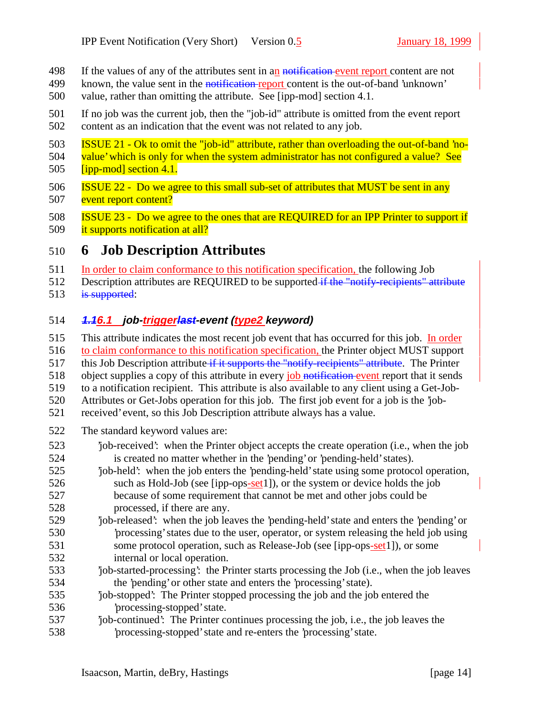- 498 If the values of any of the attributes sent in an notification event report content are not
- 499 known, the value sent in the notification report content is the out-of-band 'unknown'
- value, rather than omitting the attribute. See [ipp-mod] section 4.1.
- If no job was the current job, then the "job-id" attribute is omitted from the event report content as an indication that the event was not related to any job.
- ISSUE 21 Ok to omit the "job-id" attribute, rather than overloading the out-of-band 'no-
- 504 value' which is only for when the system administrator has not configured a value? See [ipp-mod] section 4.1.
- **ISSUE 22 Do we agree to this small sub-set of attributes that MUST be sent in any** 507 event report content?
- ISSUE 23 Do we agree to the ones that are REQUIRED for an IPP Printer to support if
- 509 it supports notification at all?

## **6 Job Description Attributes**

- 511 In order to claim conformance to this notification specification, the following Job
- 512 Description attributes are REQUIRED to be supported if the "notify-recipients" attribute 513 is supported:

#### **1.16.1 job-triggerlast-event (type2 keyword)**

- This attribute indicates the most recent job event that has occurred for this job. In order
- to claim conformance to this notification specification, the Printer object MUST support
- 517 this Job Description attribute if it supports the "notify-recipients" attribute. The Printer
- 518 object supplies a copy of this attribute in every job notification event report that it sends
- to a notification recipient. This attribute is also available to any client using a Get-Job-
- Attributes or Get-Jobs operation for this job. The first job event for a job is the 'job-
- received' event, so this Job Description attribute always has a value.
- The standard keyword values are:
- 'job-received': when the Printer object accepts the create operation (i.e., when the job is created no matter whether in the 'pending' or 'pending-held' states).
- 'job-held': when the job enters the 'pending-held' state using some protocol operation, such as Hold-Job (see [ipp-ops-set1]), or the system or device holds the job because of some requirement that cannot be met and other jobs could be processed, if there are any.
- 'job-released': when the job leaves the 'pending-held' state and enters the 'pending' or 'processing' states due to the user, operator, or system releasing the held job using some protocol operation, such as Release-Job (see [ipp-ops-set1]), or some internal or local operation.
- 'job-started-processing': the Printer starts processing the Job (i.e., when the job leaves the 'pending' or other state and enters the 'processing' state).
- 'job-stopped': The Printer stopped processing the job and the job entered the 'processing-stopped' state.
- 'job-continued': The Printer continues processing the job, i.e., the job leaves the 'processing-stopped' state and re-enters the 'processing' state.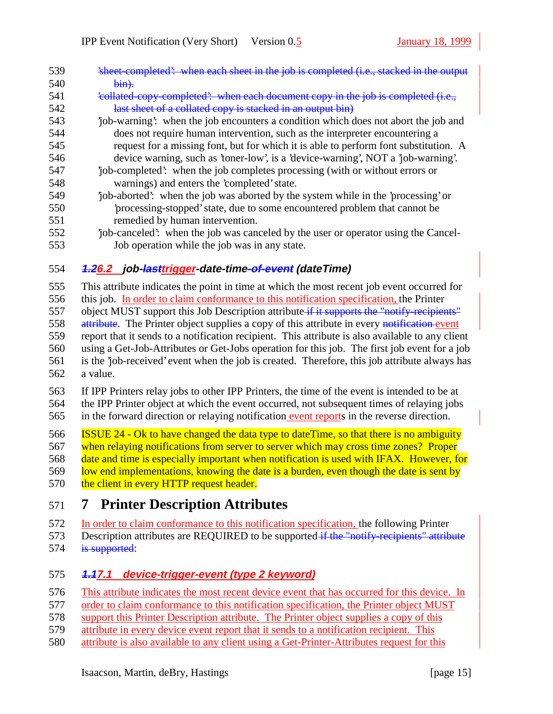| 539 | et-completed': when each sheet in the job is completed (i.e., stacked in the or      |
|-----|--------------------------------------------------------------------------------------|
| 540 | <del>bin).</del>                                                                     |
| 541 | 'collated copy completed': when each document copy in the job is completed (i.e.,    |
| 542 | last sheet of a collated copy is stacked in an output bin)                           |
| 543 | job-warning: when the job encounters a condition which does not abort the job and    |
| 544 | does not require human intervention, such as the interpreter encountering a          |
| 545 | request for a missing font, but for which it is able to perform font substitution. A |
| 546 | device warning, such as 'toner-low', is a 'device-warning', NOT a 'job-warning'.     |
| 547 | job-completed: when the job completes processing (with or without errors or          |
| 548 | warnings) and enters the 'completed' state.                                          |
| 549 | job-aborted: when the job was aborted by the system while in the 'processing' or     |
| 550 | processing-stopped' state, due to some encountered problem that cannot be            |
| 551 | remedied by human intervention.                                                      |
| 552 | job-canceled: when the job was canceled by the user or operator using the Cancel-    |

Job operation while the job was in any state.

### **1.26.2 job-lasttrigger-date-time-of-event (dateTime)**

This attribute indicates the point in time at which the most recent job event occurred for

this job. In order to claim conformance to this notification specification, the Printer

557 object MUST support this Job Description attribute if it supports the "notify-recipients"

558 attribute. The Printer object supplies a copy of this attribute in every notification event

 report that it sends to a notification recipient. This attribute is also available to any client using a Get-Job-Attributes or Get-Jobs operation for this job. The first job event for a job

is the 'job-received' event when the job is created. Therefore, this job attribute always has

a value.

 If IPP Printers relay jobs to other IPP Printers, the time of the event is intended to be at the IPP Printer object at which the event occurred, not subsequent times of relaying jobs in the forward direction or relaying notification event reports in the reverse direction.

ISSUE 24 - Ok to have changed the data type to dateTime, so that there is no ambiguity

when relaying notifications from server to server which may cross time zones? Proper

date and time is especially important when notification is used with IFAX. However, for

 low end implementations, knowing the date is a burden, even though the date is sent by 570 the client in every HTTP request header.

# **7 Printer Description Attributes**

 In order to claim conformance to this notification specification, the following Printer 573 Description attributes are REQUIRED to be supported if the "notify-recipients" attribute

574 is supported:

### **1.17.1 device-trigger-event (type 2 keyword)**

This attribute indicates the most recent device event that has occurred for this device. In

- 577 order to claim conformance to this notification specification, the Printer object MUST
- support this Printer Description attribute. The Printer object supplies a copy of this
- attribute in every device event report that it sends to a notification recipient. This
- attribute is also available to any client using a Get-Printer-Attributes request for this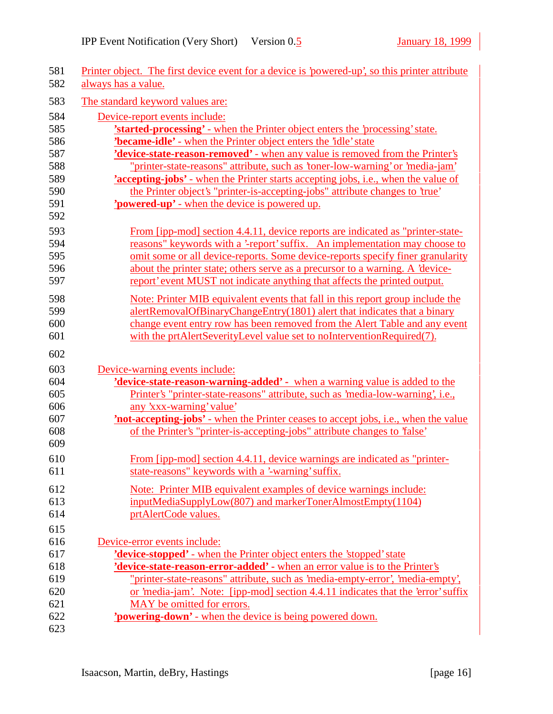| 581<br>582 | Printer object. The first device event for a device is 'powered-up', so this printer attribute<br>always has a value. |
|------------|-----------------------------------------------------------------------------------------------------------------------|
| 583        | The standard keyword values are:                                                                                      |
| 584        | Device-report events include:                                                                                         |
| 585        | <b>'started-processing'</b> - when the Printer object enters the 'processing' state.                                  |
| 586        | <b>'became-idle'</b> - when the Printer object enters the 'idle' state                                                |
| 587        | <b>'device-state-reason-removed'</b> - when any value is removed from the Printer's                                   |
| 588        | "printer-state-reasons" attribute, such as 'toner-low-warning' or 'media-jam'                                         |
| 589        | 'accepting-jobs' - when the Printer starts accepting jobs, i.e., when the value of                                    |
| 590        | the Printer object's "printer-is-accepting-jobs" attribute changes to 'true'                                          |
| 591        | <b>'powered-up'</b> - when the device is powered up.                                                                  |
| 592        |                                                                                                                       |
| 593        | From [ipp-mod] section 4.4.11, device reports are indicated as "printer-state-                                        |
| 594        | reasons" keywords with a '-report' suffix. An implementation may choose to                                            |
| 595        | omit some or all device-reports. Some device-reports specify finer granularity                                        |
| 596        | about the printer state; others serve as a precursor to a warning. A 'device-                                         |
| 597        | report' event MUST not indicate anything that affects the printed output.                                             |
| 598        | Note: Printer MIB equivalent events that fall in this report group include the                                        |
| 599        | alertRemovalOfBinaryChangeEntry(1801) alert that indicates that a binary                                              |
| 600        | change event entry row has been removed from the Alert Table and any event                                            |
| 601        | with the prtAlertSeverityLevel value set to noInterventionRequired(7).                                                |
| 602        |                                                                                                                       |
| 603        | Device-warning events include:                                                                                        |
| 604        | 'device-state-reason-warning-added' - when a warning value is added to the                                            |
| 605        | Printer's "printer-state-reasons" attribute, such as 'media-low-warning', i.e.,                                       |
| 606        | any 'xxx-warning' value'                                                                                              |
| 607        | <b>'not-accepting-jobs'</b> - when the Printer ceases to accept jobs, i.e., when the value                            |
| 608<br>609 | of the Printer's "printer-is-accepting-jobs" attribute changes to 'false'                                             |
| 610        | From [ipp-mod] section 4.4.11, device warnings are indicated as "printer-                                             |
| 611        | state-reasons" keywords with a '-warning' suffix.                                                                     |
| 612        | Note: Printer MIB equivalent examples of device warnings include:                                                     |
| 613        | inputMediaSupplyLow(807) and markerTonerAlmostEmpty(1104)                                                             |
| 614        | prtAlertCode values.                                                                                                  |
| 615        |                                                                                                                       |
| 616        | Device-error events include:                                                                                          |
| 617        | 'device-stopped' - when the Printer object enters the 'stopped' state                                                 |
| 618        | 'device-state-reason-error-added' - when an error value is to the Printer's                                           |
| 619        | "printer-state-reasons" attribute, such as 'media-empty-error', 'media-empty',                                        |
| 620        | or 'media-jam'. Note: [ipp-mod] section 4.4.11 indicates that the 'error' suffix                                      |
| 621        | MAY be omitted for errors.                                                                                            |
| 622        | <b>'powering-down'</b> - when the device is being powered down.                                                       |
| 623        |                                                                                                                       |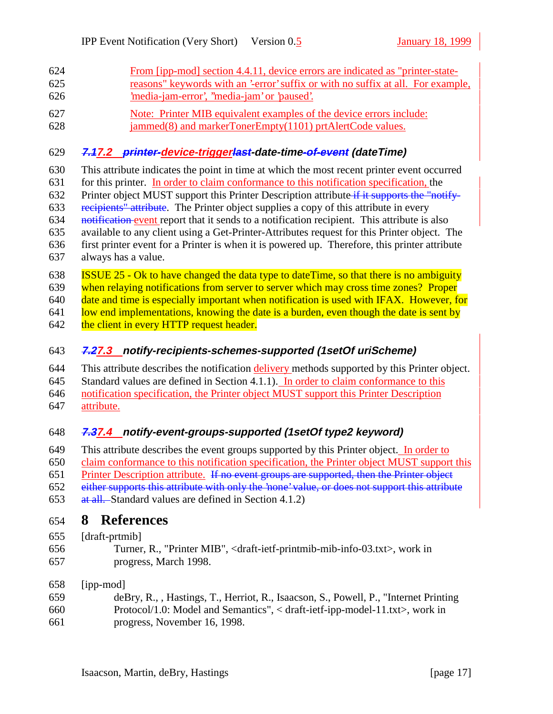- From [ipp-mod] section 4.4.11, device errors are indicated as "printer-state- reasons" keywords with an '-error' suffix or with no suffix at all. For example, 'media-jam-error', ''media-jam' or 'paused'.
- Note: Printer MIB equivalent examples of the device errors include:
- jammed(8) and markerTonerEmpty(1101) prtAlertCode values.

#### **7.17.2 printer-device-triggerlast-date-time-of-event (dateTime)**

- This attribute indicates the point in time at which the most recent printer event occurred
- for this printer. In order to claim conformance to this notification specification, the
- 632 Printer object MUST support this Printer Description attribute if it supports the "notify-
- recipients" attribute. The Printer object supplies a copy of this attribute in every
- 634 notification event report that it sends to a notification recipient. This attribute is also
- available to any client using a Get-Printer-Attributes request for this Printer object. The
- first printer event for a Printer is when it is powered up. Therefore, this printer attribute always has a value.
- ISSUE 25 Ok to have changed the data type to dateTime, so that there is no ambiguity

when relaying notifications from server to server which may cross time zones? Proper

640 date and time is especially important when notification is used with IFAX. However, for

641 low end implementations, knowing the date is a burden, even though the date is sent by

- 642 the client in every HTTP request header.
- **7.27.3 notify-recipients-schemes-supported (1setOf uriScheme)**

644 This attribute describes the notification delivery methods supported by this Printer object. Standard values are defined in Section 4.1.1). In order to claim conformance to this notification specification, the Printer object MUST support this Printer Description attribute.

## **7.37.4 notify-event-groups-supported (1setOf type2 keyword)**

This attribute describes the event groups supported by this Printer object. In order to

claim conformance to this notification specification, the Printer object MUST support this

651 Printer Description attribute. If no event groups are supported, then the Printer object

either supports this attribute with only the 'none' value, or does not support this attribute

653 at all. Standard values are defined in Section 4.1.2)

# **8 References**

## [draft-prtmib]

 Turner, R., "Printer MIB", <draft-ietf-printmib-mib-info-03.txt>, work in progress, March 1998.

## [ipp-mod]

 deBry, R., , Hastings, T., Herriot, R., Isaacson, S., Powell, P., "Internet Printing Protocol/1.0: Model and Semantics", < draft-ietf-ipp-model-11.txt>, work in progress, November 16, 1998.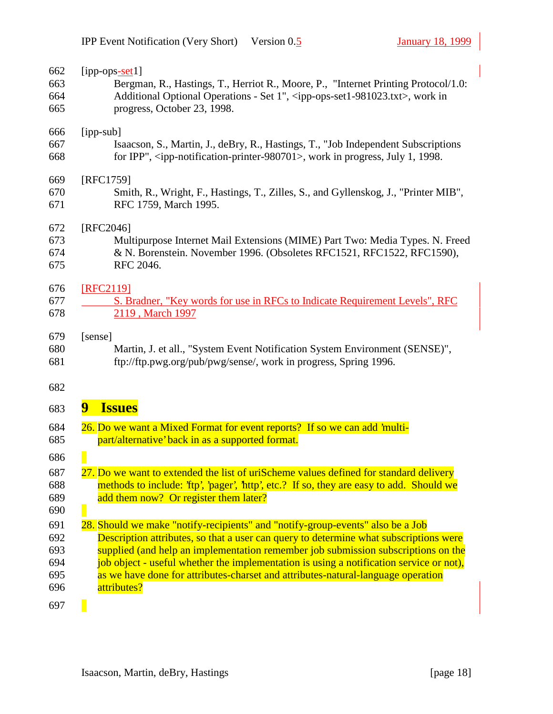| 662 | [ipp-ops $-$ set1]                                                                                             |
|-----|----------------------------------------------------------------------------------------------------------------|
| 663 | Bergman, R., Hastings, T., Herriot R., Moore, P., "Internet Printing Protocol/1.0:                             |
| 664 | Additional Optional Operations - Set 1", <ipp-ops-set1-981023.txt>, work in</ipp-ops-set1-981023.txt>          |
| 665 | progress, October 23, 1998.                                                                                    |
| 666 | [ipp-sub]                                                                                                      |
| 667 | Isaacson, S., Martin, J., deBry, R., Hastings, T., "Job Independent Subscriptions                              |
| 668 | for IPP", <ipp-notification-printer-980701>, work in progress, July 1, 1998.</ipp-notification-printer-980701> |
| 669 | [RFC1759]                                                                                                      |
| 670 | Smith, R., Wright, F., Hastings, T., Zilles, S., and Gyllenskog, J., "Printer MIB",                            |
| 671 | RFC 1759, March 1995.                                                                                          |
| 672 | [RFC2046]                                                                                                      |
| 673 | Multipurpose Internet Mail Extensions (MIME) Part Two: Media Types. N. Freed                                   |
| 674 | & N. Borenstein. November 1996. (Obsoletes RFC1521, RFC1522, RFC1590),                                         |
| 675 | RFC 2046.                                                                                                      |
| 676 | [RFC2119]                                                                                                      |
| 677 | S. Bradner, "Key words for use in RFCs to Indicate Requirement Levels", RFC                                    |
| 678 | 2119, March 1997                                                                                               |
| 679 | [sense]                                                                                                        |
| 680 | Martin, J. et all., "System Event Notification System Environment (SENSE)",                                    |
| 681 | ftp://ftp.pwg.org/pub/pwg/sense/, work in progress, Spring 1996.                                               |
| 682 |                                                                                                                |
| 683 | 9<br><b>Issues</b>                                                                                             |
| 684 | 26. Do we want a Mixed Format for event reports? If so we can add 'multi-                                      |
| 685 | part/alternative' back in as a supported format.                                                               |
| 686 |                                                                                                                |
| 687 | 27. Do we want to extended the list of uriScheme values defined for standard delivery                          |
| 688 | methods to include: 'ftp', 'pager', 'http', etc.? If so, they are easy to add. Should we                       |
| 689 | add them now? Or register them later?                                                                          |
| 690 |                                                                                                                |
| 691 | 28. Should we make "notify-recipients" and "notify-group-events" also be a Job                                 |
| 692 | Description attributes, so that a user can query to determine what subscriptions were                          |
| 693 | supplied (and help an implementation remember job submission subscriptions on the                              |
| 694 | job object - useful whether the implementation is using a notification service or not),                        |
| 695 | as we have done for attributes-charset and attributes-natural-language operation                               |
| 696 | attributes?                                                                                                    |
| 697 |                                                                                                                |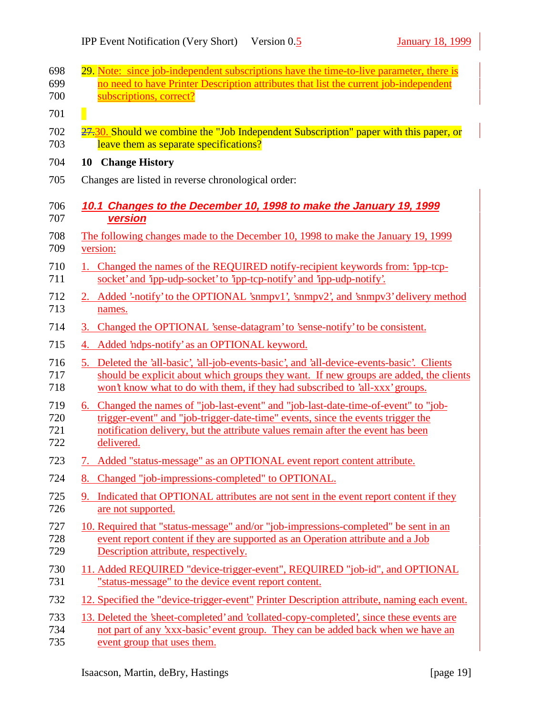| 698                      | 29. Note: since job-independent subscriptions have the time-to-live parameter, there is                                                                                                                                                                                 |
|--------------------------|-------------------------------------------------------------------------------------------------------------------------------------------------------------------------------------------------------------------------------------------------------------------------|
| 699<br>700               | no need to have Printer Description attributes that list the current job-independent<br>subscriptions, correct?                                                                                                                                                         |
| 701                      |                                                                                                                                                                                                                                                                         |
| 702                      | 27.30. Should we combine the "Job Independent Subscription" paper with this paper, or                                                                                                                                                                                   |
| 703                      | leave them as separate specifications?                                                                                                                                                                                                                                  |
| 704                      | 10 Change History                                                                                                                                                                                                                                                       |
| 705                      | Changes are listed in reverse chronological order:                                                                                                                                                                                                                      |
| 706                      | 10.1 Changes to the December 10, 1998 to make the January 19, 1999                                                                                                                                                                                                      |
| 707                      | <b>version</b>                                                                                                                                                                                                                                                          |
| 708<br>709               | The following changes made to the December 10, 1998 to make the January 19, 1999<br>version:                                                                                                                                                                            |
| 710<br>711               | 1. Changed the names of the REQUIRED notify-recipient keywords from: 'ipp-tcp-<br>socket' and 'ipp-udp-socket' to 'ipp-tcp-notify' and 'ipp-udp-notify'.                                                                                                                |
| 712<br>713               | 2. Added '-notify' to the OPTIONAL 'snmpv1', 'snmpv2', and 'snmpv3' delivery method<br>names.                                                                                                                                                                           |
| 714                      | Changed the OPTIONAL 'sense-datagram' to 'sense-notify' to be consistent.<br>3.                                                                                                                                                                                         |
| 715                      | Added 'ndps-notify' as an OPTIONAL keyword.<br>4.                                                                                                                                                                                                                       |
| 716<br>717<br>718        | 5. Deleted the 'all-basic', 'all-job-events-basic', and 'all-device-events-basic'. Clients<br>should be explicit about which groups they want. If new groups are added, the clients<br>won't know what to do with them, if they had subscribed to 'all-xxx' groups.     |
| 719<br>720<br>721<br>722 | 6. Changed the names of "job-last-event" and "job-last-date-time-of-event" to "job-<br>trigger-event" and "job-trigger-date-time" events, since the events trigger the<br>notification delivery, but the attribute values remain after the event has been<br>delivered. |
| 723                      | 7. Added "status-message" as an OPTIONAL event report content attribute.                                                                                                                                                                                                |
| 724                      | 8. Changed "job-impressions-completed" to OPTIONAL.                                                                                                                                                                                                                     |
| 725<br>726               | 9. Indicated that OPTIONAL attributes are not sent in the event report content if they<br>are not supported.                                                                                                                                                            |
| 727<br>728<br>729        | 10. Required that "status-message" and/or "job-impressions-completed" be sent in an<br>event report content if they are supported as an Operation attribute and a Job<br>Description attribute, respectively.                                                           |
| 730<br>731               | 11. Added REQUIRED "device-trigger-event", REQUIRED "job-id", and OPTIONAL<br>"status-message" to the device event report content.                                                                                                                                      |
| 732                      | 12. Specified the "device-trigger-event" Printer Description attribute, naming each event.                                                                                                                                                                              |
| 733<br>734<br>735        | 13. Deleted the 'sheet-completed' and 'collated-copy-completed', since these events are<br>not part of any 'xxx-basic' event group. They can be added back when we have an<br>event group that uses them.                                                               |